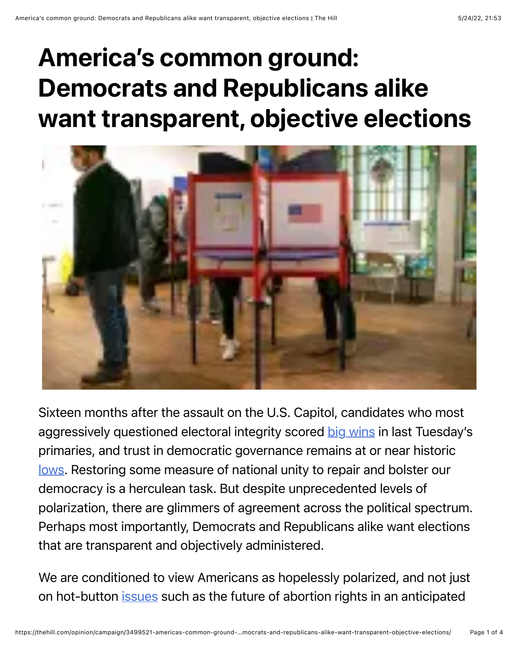## America's common ground: Democrats and Republicans alike want transparent, objective elections



Sixteen months after the assault on the U.S. Capitol, candidates who most aggressively questioned electoral integrity scored [big wins](https://www.nytimes.com/2022/05/18/us/politics/pa-nc-primary-takeaways.html) in last Tuesday's primaries, and trust in democratic governance remains at or near historic [lows.](https://news.gallup.com/poll/5392/trust-government.aspx) Restoring some measure of national unity to repair and bolster our democracy is a herculean task. But despite unprecedented levels of polarization, there are glimmers of agreement across the political spectrum. Perhaps most importantly, Democrats and Republicans alike want elections that are transparent and objectively administered.

We are conditioned to view Americans as hopelessly polarized, and not just on hot-button *[issues](https://news.usc.edu/199165/increasing-discord-over-abortion-lgbtq-issues-keep-polarization-levels-high/)* such as the future of abortion rights in an anticipated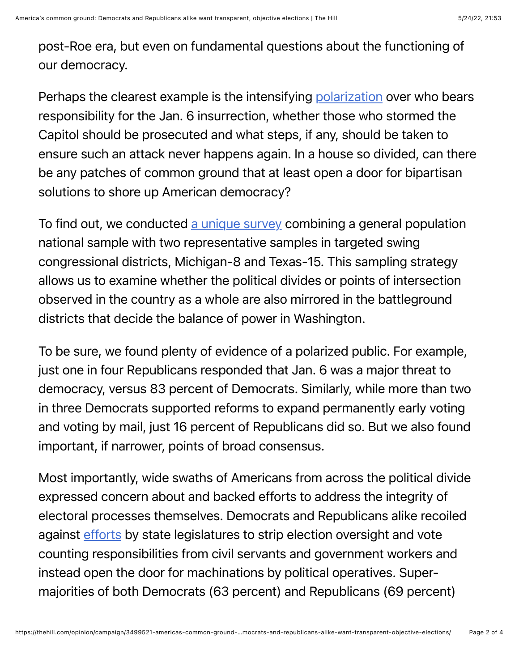post-Roe era, but even on fundamental questions about the functioning of our democracy.

Perhaps the clearest example is the intensifying [polarization](https://www.pewresearch.org/fact-tank/2022/01/04/a-look-back-at-americans-reactions-to-the-jan-6-riot-at-the-u-s-capitol/) over who bears responsibility for the Jan. 6 insurrection, whether those who stormed the Capitol should be prosecuted and what steps, if any, should be taken to ensure such an attack never happens again. In a house so divided, can there be any patches of common ground that at least open a door for bipartisan solutions to shore up American democracy?

To find out, we conducted [a unique survey](https://news.cornell.edu/stories/2022/05/where-red-and-blue-meet-cancel-culture-fair-elections) combining a general population national sample with two representative samples in targeted swing congressional districts, Michigan-8 and Texas-15. This sampling strategy allows us to examine whether the political divides or points of intersection observed in the country as a whole are also mirrored in the battleground districts that decide the balance of power in Washington.

To be sure, we found plenty of evidence of a polarized public. For example, just one in four Republicans responded that Jan. 6 was a major threat to democracy, versus 83 percent of Democrats. Similarly, while more than two in three Democrats supported reforms to expand permanently early voting and voting by mail, just 16 percent of Republicans did so. But we also found important, if narrower, points of broad consensus.

Most importantly, wide swaths of Americans from across the political divide expressed concern about and backed efforts to address the integrity of electoral processes themselves. Democrats and Republicans alike recoiled against [efforts](https://www.brennancenter.org/our-work/research-reports/election-sabotage-scheme-and-how-congress-can-stop-it) by state legislatures to strip election oversight and vote counting responsibilities from civil servants and government workers and instead open the door for machinations by political operatives. Supermajorities of both Democrats (63 percent) and Republicans (69 percent)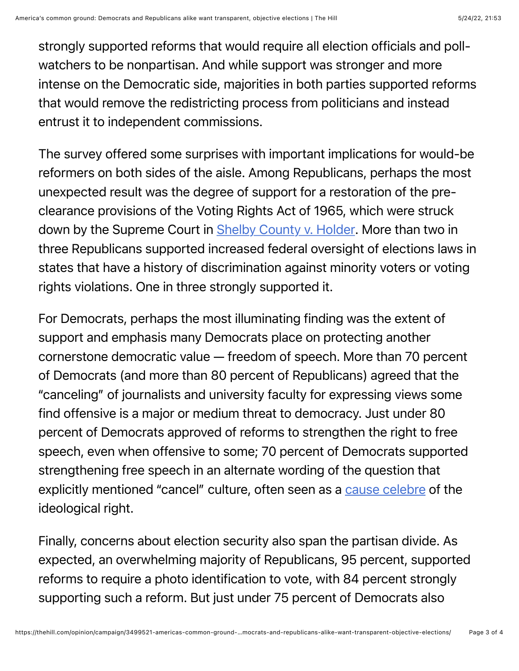strongly supported reforms that would require all election officials and pollwatchers to be nonpartisan. And while support was stronger and more intense on the Democratic side, majorities in both parties supported reforms that would remove the redistricting process from politicians and instead entrust it to independent commissions.

The survey offered some surprises with important implications for would-be reformers on both sides of the aisle. Among Republicans, perhaps the most unexpected result was the degree of support for a restoration of the preclearance provisions of the Voting Rights Act of 1965, which were struck down by the Supreme Court in [Shelby County v. Holder.](https://www.oyez.org/cases/2012/12-96) More than two in three Republicans supported increased federal oversight of elections laws in states that have a history of discrimination against minority voters or voting rights violations. One in three strongly supported it.

For Democrats, perhaps the most illuminating finding was the extent of support and emphasis many Democrats place on protecting another cornerstone democratic value — freedom of speech. More than 70 percent of Democrats (and more than 80 percent of Republicans) agreed that the "canceling" of journalists and university faculty for expressing views some find offensive is a major or medium threat to democracy. Just under 80 percent of Democrats approved of reforms to strengthen the right to free speech, even when offensive to some; 70 percent of Democrats supported strengthening free speech in an alternate wording of the question that explicitly mentioned "cancel" culture, often seen as a [cause celebre](https://www.npr.org/2021/07/09/1014744289/cancel-culture-debate-has-early-90s-roots-political-correctness) of the ideological right.

Finally, concerns about election security also span the partisan divide. As expected, an overwhelming majority of Republicans, 95 percent, supported reforms to require a photo identification to vote, with 84 percent strongly supporting such a reform. But just under 75 percent of Democrats also